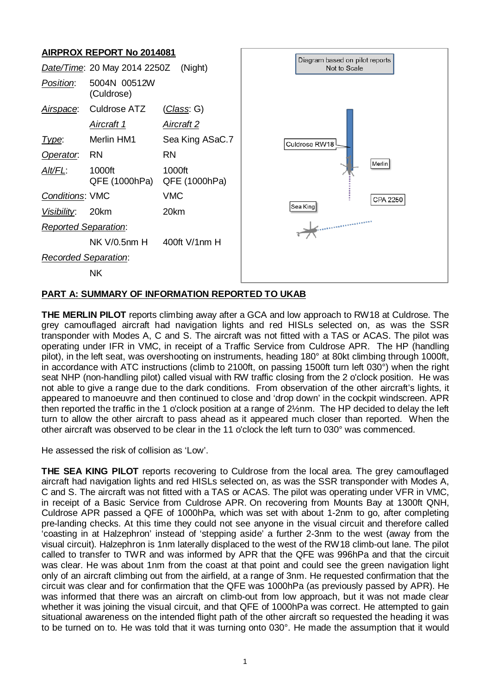# **AIRPROX REPORT No 2014081**



## **PART A: SUMMARY OF INFORMATION REPORTED TO UKAB**

**THE MERLIN PILOT** reports climbing away after a GCA and low approach to RW18 at Culdrose. The grey camouflaged aircraft had navigation lights and red HISLs selected on, as was the SSR transponder with Modes A, C and S. The aircraft was not fitted with a TAS or ACAS. The pilot was operating under IFR in VMC, in receipt of a Traffic Service from Culdrose APR. The HP (handling pilot), in the left seat, was overshooting on instruments, heading 180° at 80kt climbing through 1000ft, in accordance with ATC instructions (climb to 2100ft, on passing 1500ft turn left 030°) when the right seat NHP (non-handling pilot) called visual with RW traffic closing from the 2 o'clock position. He was not able to give a range due to the dark conditions. From observation of the other aircraft's lights, it appeared to manoeuvre and then continued to close and 'drop down' in the cockpit windscreen. APR then reported the traffic in the 1 o'clock position at a range of 2½nm. The HP decided to delay the left turn to allow the other aircraft to pass ahead as it appeared much closer than reported. When the other aircraft was observed to be clear in the 11 o'clock the left turn to 030° was commenced.

He assessed the risk of collision as 'Low'.

**THE SEA KING PILOT** reports recovering to Culdrose from the local area. The grey camouflaged aircraft had navigation lights and red HISLs selected on, as was the SSR transponder with Modes A, C and S. The aircraft was not fitted with a TAS or ACAS. The pilot was operating under VFR in VMC, in receipt of a Basic Service from Culdrose APR. On recovering from Mounts Bay at 1300ft QNH, Culdrose APR passed a QFE of 1000hPa, which was set with about 1-2nm to go, after completing pre-landing checks. At this time they could not see anyone in the visual circuit and therefore called 'coasting in at Halzephron' instead of 'stepping aside' a further 2-3nm to the west (away from the visual circuit). Halzephron is 1nm laterally displaced to the west of the RW18 climb-out lane. The pilot called to transfer to TWR and was informed by APR that the QFE was 996hPa and that the circuit was clear. He was about 1nm from the coast at that point and could see the green navigation light only of an aircraft climbing out from the airfield, at a range of 3nm. He requested confirmation that the circuit was clear and for confirmation that the QFE was 1000hPa (as previously passed by APR). He was informed that there was an aircraft on climb-out from low approach, but it was not made clear whether it was joining the visual circuit, and that QFE of 1000hPa was correct. He attempted to gain situational awareness on the intended flight path of the other aircraft so requested the heading it was to be turned on to. He was told that it was turning onto 030°. He made the assumption that it would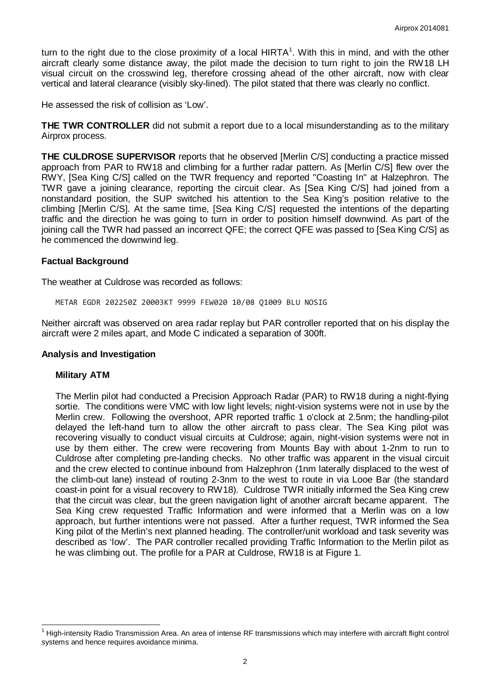turn to the right due to the close proximity of a local  $HIRTA^1$  $HIRTA^1$ . With this in mind, and with the other aircraft clearly some distance away, the pilot made the decision to turn right to join the RW18 LH visual circuit on the crosswind leg, therefore crossing ahead of the other aircraft, now with clear vertical and lateral clearance (visibly sky-lined). The pilot stated that there was clearly no conflict.

He assessed the risk of collision as 'Low'.

**THE TWR CONTROLLER** did not submit a report due to a local misunderstanding as to the military Airprox process.

**THE CULDROSE SUPERVISOR** reports that he observed [Merlin C/S] conducting a practice missed approach from PAR to RW18 and climbing for a further radar pattern. As [Merlin C/S] flew over the RWY, [Sea King C/S] called on the TWR frequency and reported "Coasting In" at Halzephron. The TWR gave a joining clearance, reporting the circuit clear. As [Sea King C/S] had joined from a nonstandard position, the SUP switched his attention to the Sea King's position relative to the climbing [Merlin C/S]. At the same time, [Sea King C/S] requested the intentions of the departing traffic and the direction he was going to turn in order to position himself downwind. As part of the joining call the TWR had passed an incorrect QFE; the correct QFE was passed to [Sea King C/S] as he commenced the downwind leg.

#### **Factual Background**

The weather at Culdrose was recorded as follows:

METAR EGDR 202250Z 20003KT 9999 FEW020 10/08 Q1009 BLU NOSIG

Neither aircraft was observed on area radar replay but PAR controller reported that on his display the aircraft were 2 miles apart, and Mode C indicated a separation of 300ft.

#### **Analysis and Investigation**

#### **Military ATM**

The Merlin pilot had conducted a Precision Approach Radar (PAR) to RW18 during a night-flying sortie. The conditions were VMC with low light levels; night-vision systems were not in use by the Merlin crew. Following the overshoot, APR reported traffic 1 o'clock at 2.5nm; the handling-pilot delayed the left-hand turn to allow the other aircraft to pass clear. The Sea King pilot was recovering visually to conduct visual circuits at Culdrose; again, night-vision systems were not in use by them either. The crew were recovering from Mounts Bay with about 1-2nm to run to Culdrose after completing pre-landing checks. No other traffic was apparent in the visual circuit and the crew elected to continue inbound from Halzephron (1nm laterally displaced to the west of the climb-out lane) instead of routing 2-3nm to the west to route in via Looe Bar (the standard coast-in point for a visual recovery to RW18). Culdrose TWR initially informed the Sea King crew that the circuit was clear, but the green navigation light of another aircraft became apparent. The Sea King crew requested Traffic Information and were informed that a Merlin was on a low approach, but further intentions were not passed. After a further request, TWR informed the Sea King pilot of the Merlin's next planned heading. The controller/unit workload and task severity was described as 'low'. The PAR controller recalled providing Traffic Information to the Merlin pilot as he was climbing out. The profile for a PAR at Culdrose, RW18 is at Figure 1.

<span id="page-1-0"></span> $1$  High-intensity Radio Transmission Area. An area of intense RF transmissions which may interfere with aircraft flight control systems and hence requires avoidance minima.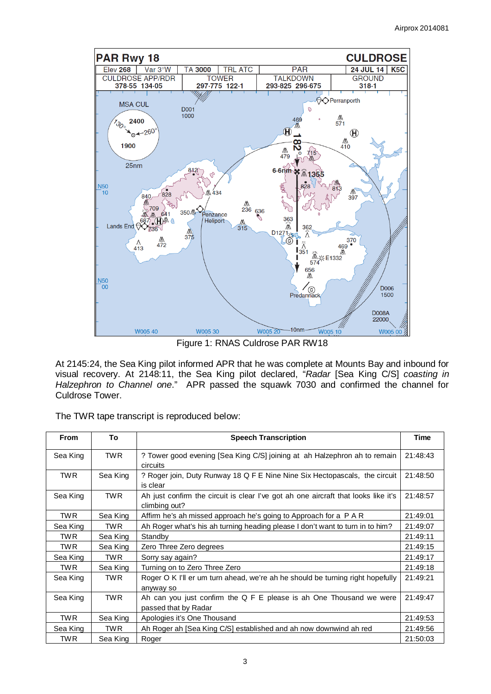

Figure 1: RNAS Culdrose PAR RW18

At 2145:24, the Sea King pilot informed APR that he was complete at Mounts Bay and inbound for visual recovery. At 2148:11, the Sea King pilot declared, "*Radar* [Sea King C/S] *coasting in Halzephron to Channel one*." APR passed the squawk 7030 and confirmed the channel for Culdrose Tower.

The TWR tape transcript is reproduced below:

| <b>From</b> | To         | <b>Speech Transcription</b>                                                                         | Time     |
|-------------|------------|-----------------------------------------------------------------------------------------------------|----------|
| Sea King    | TWR.       | ? Tower good evening [Sea King C/S] joining at ah Halzephron ah to remain<br>circuits               | 21:48:43 |
| <b>TWR</b>  | Sea King   | ? Roger join, Duty Runway 18 Q F E Nine Nine Six Hectopascals, the circuit<br>is clear              | 21:48:50 |
| Sea King    | TWR.       | Ah just confirm the circuit is clear I've got ah one aircraft that looks like it's<br>climbing out? | 21:48:57 |
| <b>TWR</b>  | Sea King   | Affirm he's ah missed approach he's going to Approach for a P A R                                   | 21:49:01 |
| Sea King    | <b>TWR</b> | Ah Roger what's his ah turning heading please I don't want to turn in to him?                       | 21:49:07 |
| <b>TWR</b>  | Sea King   | Standby                                                                                             | 21:49:11 |
| <b>TWR</b>  | Sea King   | Zero Three Zero degrees                                                                             | 21:49:15 |
| Sea King    | TWR.       | Sorry say again?                                                                                    | 21:49:17 |
| <b>TWR</b>  | Sea King   | Turning on to Zero Three Zero                                                                       | 21:49:18 |
| Sea King    | <b>TWR</b> | Roger O K I'll er um turn ahead, we're ah he should be turning right hopefully<br>anyway so         | 21:49:21 |
| Sea King    | TWR.       | Ah can you just confirm the Q F E please is ah One Thousand we were<br>passed that by Radar         | 21:49:47 |
| <b>TWR</b>  | Sea King   | Apologies it's One Thousand                                                                         | 21:49:53 |
| Sea King    | <b>TWR</b> | Ah Roger ah [Sea King C/S] established and ah now downwind ah red                                   | 21:49:56 |
| <b>TWR</b>  | Sea King   | Roger                                                                                               | 21:50:03 |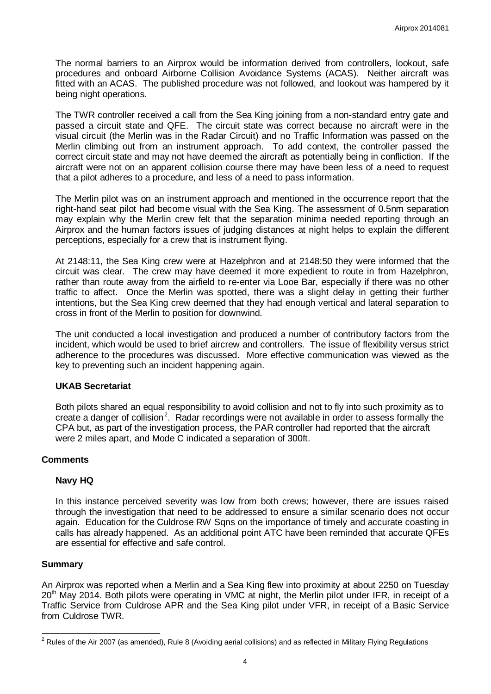The normal barriers to an Airprox would be information derived from controllers, lookout, safe procedures and onboard Airborne Collision Avoidance Systems (ACAS). Neither aircraft was fitted with an ACAS. The published procedure was not followed, and lookout was hampered by it being night operations.

The TWR controller received a call from the Sea King joining from a non-standard entry gate and passed a circuit state and QFE. The circuit state was correct because no aircraft were in the visual circuit (the Merlin was in the Radar Circuit) and no Traffic Information was passed on the Merlin climbing out from an instrument approach. To add context, the controller passed the correct circuit state and may not have deemed the aircraft as potentially being in confliction. If the aircraft were not on an apparent collision course there may have been less of a need to request that a pilot adheres to a procedure, and less of a need to pass information.

The Merlin pilot was on an instrument approach and mentioned in the occurrence report that the right-hand seat pilot had become visual with the Sea King. The assessment of 0.5nm separation may explain why the Merlin crew felt that the separation minima needed reporting through an Airprox and the human factors issues of judging distances at night helps to explain the different perceptions, especially for a crew that is instrument flying.

At 2148:11, the Sea King crew were at Hazelphron and at 2148:50 they were informed that the circuit was clear. The crew may have deemed it more expedient to route in from Hazelphron, rather than route away from the airfield to re-enter via Looe Bar, especially if there was no other traffic to affect. Once the Merlin was spotted, there was a slight delay in getting their further intentions, but the Sea King crew deemed that they had enough vertical and lateral separation to cross in front of the Merlin to position for downwind.

The unit conducted a local investigation and produced a number of contributory factors from the incident, which would be used to brief aircrew and controllers. The issue of flexibility versus strict adherence to the procedures was discussed. More effective communication was viewed as the key to preventing such an incident happening again.

## **UKAB Secretariat**

Both pilots shared an equal responsibility to avoid collision and not to fly into such proximity as to create a danger of collision<sup>[2](#page-3-0)</sup>. Radar recordings were not available in order to assess formally the CPA but, as part of the investigation process, the PAR controller had reported that the aircraft were 2 miles apart, and Mode C indicated a separation of 300ft.

## **Comments**

## **Navy HQ**

In this instance perceived severity was low from both crews; however, there are issues raised through the investigation that need to be addressed to ensure a similar scenario does not occur again. Education for the Culdrose RW Sqns on the importance of timely and accurate coasting in calls has already happened. As an additional point ATC have been reminded that accurate QFEs are essential for effective and safe control.

#### **Summary**

An Airprox was reported when a Merlin and a Sea King flew into proximity at about 2250 on Tuesday 20<sup>th</sup> May 2014. Both pilots were operating in VMC at night, the Merlin pilot under IFR, in receipt of a Traffic Service from Culdrose APR and the Sea King pilot under VFR, in receipt of a Basic Service from Culdrose TWR.

<span id="page-3-0"></span> $2$  Rules of the Air 2007 (as amended), Rule 8 (Avoiding aerial collisions) and as reflected in Military Flying Regulations